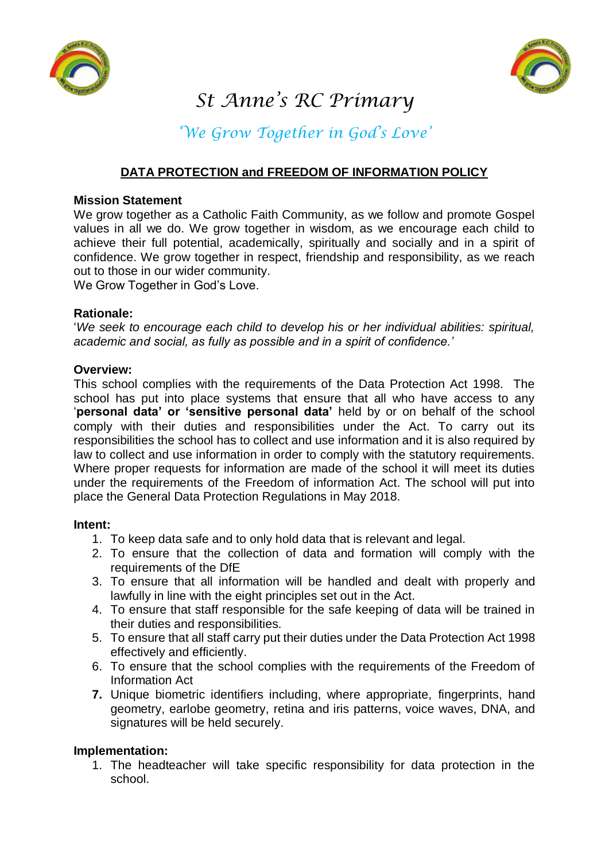



# *St Anne's RC Primary*

## *'We Grow Together in God's Love'*

### **DATA PROTECTION and FREEDOM OF INFORMATION POLICY**

#### **Mission Statement**

We grow together as a Catholic Faith Community, as we follow and promote Gospel values in all we do. We grow together in wisdom, as we encourage each child to achieve their full potential, academically, spiritually and socially and in a spirit of confidence. We grow together in respect, friendship and responsibility, as we reach out to those in our wider community.

We Grow Together in God's Love.

#### **Rationale:**

'*We seek to encourage each child to develop his or her individual abilities: spiritual, academic and social, as fully as possible and in a spirit of confidence.'* 

#### **Overview:**

This school complies with the requirements of the Data Protection Act 1998. The school has put into place systems that ensure that all who have access to any '**personal data' or 'sensitive personal data'** held by or on behalf of the school comply with their duties and responsibilities under the Act. To carry out its responsibilities the school has to collect and use information and it is also required by law to collect and use information in order to comply with the statutory requirements. Where proper requests for information are made of the school it will meet its duties under the requirements of the Freedom of information Act. The school will put into place the General Data Protection Regulations in May 2018.

#### **Intent:**

- 1. To keep data safe and to only hold data that is relevant and legal.
- 2. To ensure that the collection of data and formation will comply with the requirements of the DfE
- 3. To ensure that all information will be handled and dealt with properly and lawfully in line with the eight principles set out in the Act.
- 4. To ensure that staff responsible for the safe keeping of data will be trained in their duties and responsibilities.
- 5. To ensure that all staff carry put their duties under the Data Protection Act 1998 effectively and efficiently.
- 6. To ensure that the school complies with the requirements of the Freedom of Information Act
- **7.** Unique biometric identifiers including, where appropriate, fingerprints, hand geometry, earlobe geometry, retina and iris patterns, voice waves, DNA, and signatures will be held securely.

#### **Implementation:**

1. The headteacher will take specific responsibility for data protection in the school.